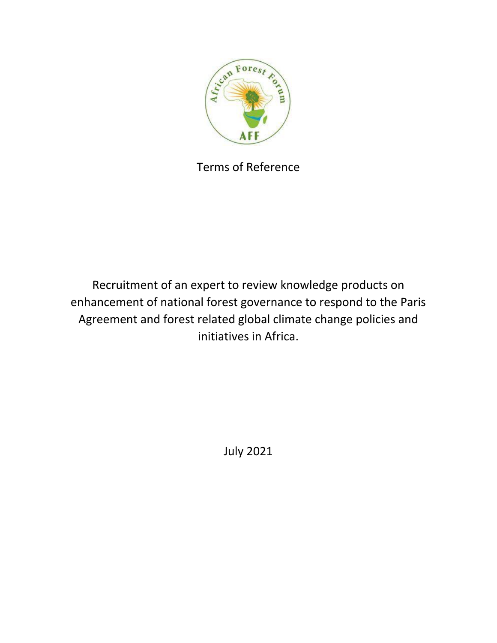

Terms of Reference

Recruitment of an expert to review knowledge products on enhancement of national forest governance to respond to the Paris Agreement and forest related global climate change policies and initiatives in Africa.

July 2021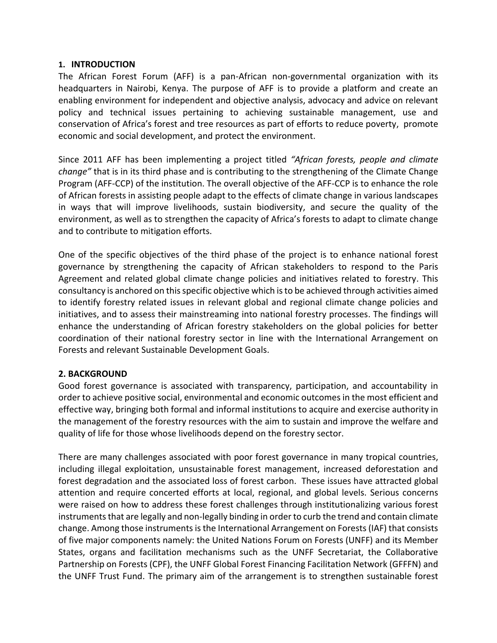#### **1. INTRODUCTION**

The African Forest Forum (AFF) is a pan-African non-governmental organization with its headquarters in Nairobi, Kenya. The purpose of AFF is to provide a platform and create an enabling environment for independent and objective analysis, advocacy and advice on relevant policy and technical issues pertaining to achieving sustainable management, use and conservation of Africa's forest and tree resources as part of efforts to reduce poverty, promote economic and social development, and protect the environment.

Since 2011 AFF has been implementing a project titled *"African forests, people and climate change"* that is in its third phase and is contributing to the strengthening of the Climate Change Program (AFF-CCP) of the institution. The overall objective of the AFF-CCP is to enhance the role of African forests in assisting people adapt to the effects of climate change in various landscapes in ways that will improve livelihoods, sustain biodiversity, and secure the quality of the environment, as well as to strengthen the capacity of Africa's forests to adapt to climate change and to contribute to mitigation efforts.

One of the specific objectives of the third phase of the project is to enhance national forest governance by strengthening the capacity of African stakeholders to respond to the Paris Agreement and related global climate change policies and initiatives related to forestry. This consultancy is anchored on this specific objective which isto be achieved through activities aimed to identify forestry related issues in relevant global and regional climate change policies and initiatives, and to assess their mainstreaming into national forestry processes. The findings will enhance the understanding of African forestry stakeholders on the global policies for better coordination of their national forestry sector in line with the International Arrangement on Forests and relevant Sustainable Development Goals.

#### **2. BACKGROUND**

Good forest governance is associated with transparency, participation, and accountability in order to achieve positive social, environmental and economic outcomes in the most efficient and effective way, bringing both formal and informal institutions to acquire and exercise authority in the management of the forestry resources with the aim to sustain and improve the welfare and quality of life for those whose livelihoods depend on the forestry sector.

There are many challenges associated with poor forest governance in many tropical countries, including illegal exploitation, unsustainable forest management, increased deforestation and forest degradation and the associated loss of forest carbon. These issues have attracted global attention and require concerted efforts at local, regional, and global levels. Serious concerns were raised on how to address these forest challenges through institutionalizing various forest instruments that are legally and non-legally binding in order to curb the trend and contain climate change. Among those instruments isthe International Arrangement on Forests (IAF) that consists of five major components namely: the United Nations Forum on Forests (UNFF) and its Member States, organs and facilitation mechanisms such as the UNFF Secretariat, the Collaborative Partnership on Forests (CPF), the UNFF Global Forest Financing Facilitation Network (GFFFN) and the UNFF Trust Fund. The primary aim of the arrangement is to strengthen sustainable forest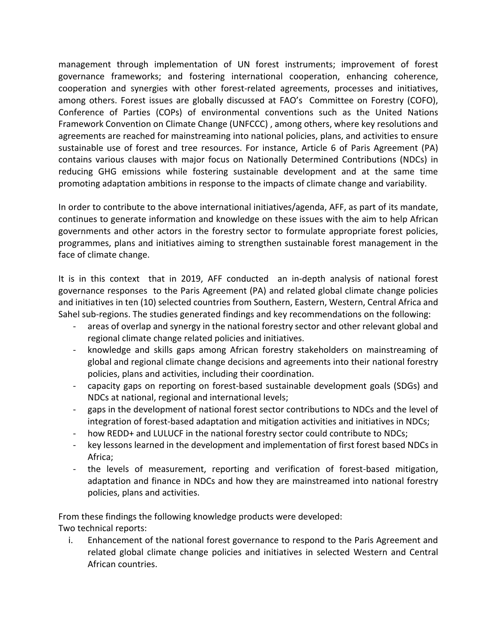management through implementation of UN forest instruments; improvement of forest governance frameworks; and fostering international cooperation, enhancing coherence, cooperation and synergies with other forest-related agreements, processes and initiatives, among others. Forest issues are globally discussed at FAO's Committee on Forestry (COFO), Conference of Parties (COPs) of environmental conventions such as the United Nations Framework Convention on Climate Change (UNFCCC) , among others, where key resolutions and agreements are reached for mainstreaming into national policies, plans, and activities to ensure sustainable use of forest and tree resources. For instance, Article 6 of Paris Agreement (PA) contains various clauses with major focus on Nationally Determined Contributions (NDCs) in reducing GHG emissions while fostering sustainable development and at the same time promoting adaptation ambitions in response to the impacts of climate change and variability.

In order to contribute to the above international initiatives/agenda, AFF, as part of its mandate, continues to generate information and knowledge on these issues with the aim to help African governments and other actors in the forestry sector to formulate appropriate forest policies, programmes, plans and initiatives aiming to strengthen sustainable forest management in the face of climate change.

It is in this context that in 2019, AFF conducted an in-depth analysis of national forest governance responses to the Paris Agreement (PA) and related global climate change policies and initiatives in ten (10) selected countries from Southern, Eastern, Western, Central Africa and Sahel sub-regions. The studies generated findings and key recommendations on the following:

- areas of overlap and synergy in the national forestry sector and other relevant global and regional climate change related policies and initiatives.
- knowledge and skills gaps among African forestry stakeholders on mainstreaming of global and regional climate change decisions and agreements into their national forestry policies, plans and activities, including their coordination.
- capacity gaps on reporting on forest-based sustainable development goals (SDGs) and NDCs at national, regional and international levels;
- gaps in the development of national forest sector contributions to NDCs and the level of integration of forest-based adaptation and mitigation activities and initiatives in NDCs;
- how REDD+ and LULUCF in the national forestry sector could contribute to NDCs;
- key lessons learned in the development and implementation of first forest based NDCs in Africa;
- the levels of measurement, reporting and verification of forest-based mitigation, adaptation and finance in NDCs and how they are mainstreamed into national forestry policies, plans and activities.

From these findings the following knowledge products were developed: Two technical reports:

i. Enhancement of the national forest governance to respond to the Paris Agreement and related global climate change policies and initiatives in selected Western and Central African countries.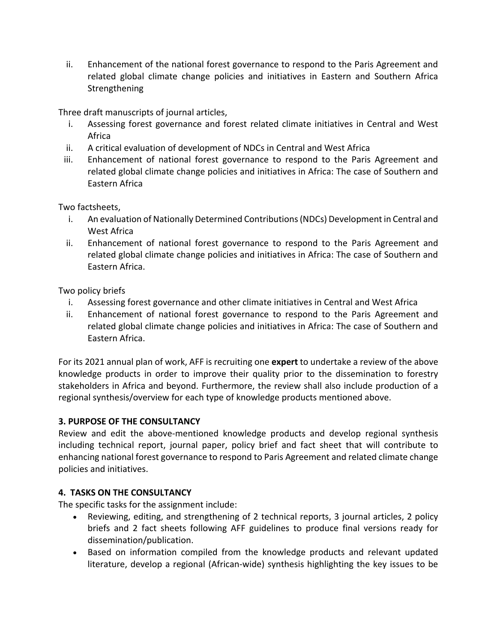ii. Enhancement of the national forest governance to respond to the Paris Agreement and related global climate change policies and initiatives in Eastern and Southern Africa Strengthening

Three draft manuscripts of journal articles,

- i. Assessing forest governance and forest related climate initiatives in Central and West Africa
- ii. A critical evaluation of development of NDCs in Central and West Africa
- iii. Enhancement of national forest governance to respond to the Paris Agreement and related global climate change policies and initiatives in Africa: The case of Southern and Eastern Africa

Two factsheets,

- i. An evaluation of Nationally Determined Contributions (NDCs) Development in Central and West Africa
- ii. Enhancement of national forest governance to respond to the Paris Agreement and related global climate change policies and initiatives in Africa: The case of Southern and Eastern Africa.

Two policy briefs

- i. Assessing forest governance and other climate initiatives in Central and West Africa
- ii. Enhancement of national forest governance to respond to the Paris Agreement and related global climate change policies and initiatives in Africa: The case of Southern and Eastern Africa.

For its 2021 annual plan of work, AFF is recruiting one **expert** to undertake a review of the above knowledge products in order to improve their quality prior to the dissemination to forestry stakeholders in Africa and beyond. Furthermore, the review shall also include production of a regional synthesis/overview for each type of knowledge products mentioned above.

# **3. PURPOSE OF THE CONSULTANCY**

Review and edit the above-mentioned knowledge products and develop regional synthesis including technical report, journal paper, policy brief and fact sheet that will contribute to enhancing national forest governance to respond to Paris Agreement and related climate change policies and initiatives.

# **4. TASKS ON THE CONSULTANCY**

The specific tasks for the assignment include:

- Reviewing, editing, and strengthening of 2 technical reports, 3 journal articles, 2 policy briefs and 2 fact sheets following AFF guidelines to produce final versions ready for dissemination/publication.
- Based on information compiled from the knowledge products and relevant updated literature, develop a regional (African-wide) synthesis highlighting the key issues to be